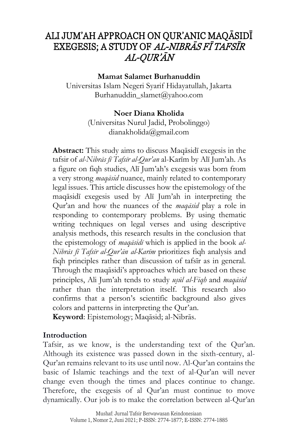# ALI JUM'AH APPROACH ON QUR'ANIC MAQĀSIDĪ EXEGESIS; A STUDY OF AL-NIBRĀS FĪ TAFSĪR AL-QUR'ĀN

**Mamat Salamet Burhanuddin**

Universitas Islam Negeri Syarif Hidayatullah, Jakarta [Burhanuddin\\_slamet@yahoo.com](mailto:Burhanuddin_slamet@yahoo.com)

# **Noer Diana Kholida**

(Universitas Nurul Jadid, Probolinggo) [dianakholida@gmail.com](mailto:dianakholida@gmail.com)

**Abstract:** This study aims to discuss Maqāsidī exegesis in the tafsir of *al-Nibrās fī Tafsīr al-Qur'an* al-Karīm by Alī Jum'ah. As a figure on fiqh studies, Alī Jum'ah's exegesis was born from a very strong *maqāsid* nuance, mainly related to contemporary legal issues. This article discusses how the epistemology of the maqāsidī exegesis used by Alī Jum'ah in interpreting the Qur'an and how the nuances of the *maqāsid* play a role in responding to contemporary problems. By using thematic writing techniques on legal verses and using descriptive analysis methods, this research results in the conclusion that the epistemology of *maqāsidī* which is applied in the book *al-Nibrās fī Tafsīr al-Qur'ān al-Karīm* prioritizes fiqh analysis and fiqh principles rather than discussion of tafsīr as in general. Through the maqāsidi's approaches which are based on these principles, Ali Jum'ah tends to study *us*}*ūl al-Fiqh* and *maqāsid* rather than the interpretation itself. This research also confirms that a person's scientific background also gives colors and patterns in interpreting the Qur'an.

**Keyword**: Epistemology; Maqāsid; al-Nibrās.

#### **Introduction**

Tafsir, as we know, is the understanding text of the Qur'an. Although its existence was passed down in the sixth-century, al-Qur'an remains relevant to its use until now. Al-Qur'an contains the basic of Islamic teachings and the text of al-Qur'an will never change even though the times and places continue to change. Therefore, the exegesis of al Qur'an must continue to move dynamically. Our job is to make the correlation between al-Qur'an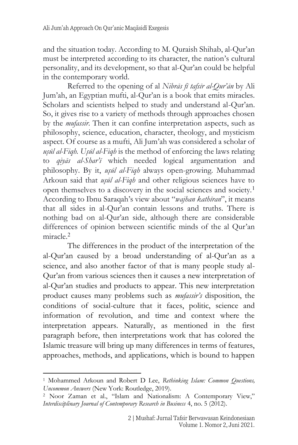and the situation today. According to M. Quraish Shihab, al-Qur'an must be interpreted according to its character, the nation's cultural personality, and its development, so that al-Qur'an could be helpful in the contemporary world.

Referred to the opening of al *Nibrās fī tafsīr al-Qur'ān* by Ali Jum'ah, an Egyptian mufti, al-Qur'an is a book that emits miracles. Scholars and scientists helped to study and understand al-Qur'an. So, it gives rise to a variety of methods through approaches chosen by the *mufassir*. Then it can confine interpretation aspects, such as philosophy, science, education, character, theology, and mysticism aspect. Of course as a mufti, Ali Jum'ah was considered a scholar of *us*}*ūl al-Fiqh. Us*}*ūl al-Fiqh* is the method of enforcing the laws relating to *qiyās al-Shar'ī* which needed logical argumentation and philosophy. By it, *us*}*ūl al-Fiqh* always open-growing. Muhammad Arkoun said that *usūl al-Figh* and other religious sciences have to open themselves to a discovery in the social sciences and society.<sup>1</sup> According to Ibnu Saraqah's view about "*wajhan kathīran*", it means that all sides in al-Qur'an contain lessons and truths. There is nothing bad on al-Qur'an side, although there are considerable differences of opinion between scientific minds of the al Qur'an  $mirale<sup>2</sup>$ 

The differences in the product of the interpretation of the al-Qur'an caused by a broad understanding of al-Qur'an as a science, and also another factor of that is many people study al-Qur'an from various sciences then it causes a new interpretation of al-Qur'an studies and products to appear. This new interpretation product causes many problems such as *mufassir's* disposition, the conditions of social-culture that it faces, politic, science and information of revolution, and time and context where the interpretation appears. Naturally, as mentioned in the first paragraph before, then interpretations work that has colored the Islamic treasure will bring up many differences in terms of features, approaches, methods, and applications, which is bound to happen

<sup>1</sup> Mohammed Arkoun and Robert D Lee, *Rethinking Islam: Common Questions, Uncommon Answers* (New York: Routledge, 2019).

<sup>2</sup> Noor Zaman et al., "Islam and Nationalism: A Contemporary View," *Interdisciplinary Journal of Contemporary Research in Business* 4, no. 5 (2012).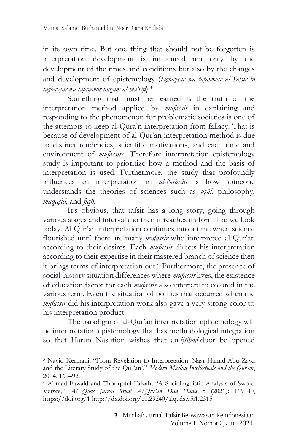in its own time. But one thing that should not be forgotten is interpretation development is influenced not only by the development of the times and conditions but also by the changes and development of epistemology (taghayyur wa tatawwur al-Tafsīr bi *taghayyur wa tat*}*awwur nuz*}*um al-ma'rifi*).<sup>3</sup>

Something that must be learned is the truth of the interpretation method applied by *mufassir* in explaining and responding to the phenomenon for problematic societies is one of the attempts to keep al-Qura'n interpretation from fallacy. That is because of development of al-Qur'an interpretation method is due to distinct tendencies, scientific motivations, and each time and environment of *mufassirs*. Therefore interpretation epistemology study is important to prioritize how a method and the basis of interpretation is used. Furthermore, the study that profoundly influences an interpretation in *al-Nibrān* is how someone understands the theories of sciences such as *usūl*, philosophy, *maqās*}*id*, and *fiqh*.

It's obvious, that tafsir has a long story, going through various stages and intervals so then it reaches its form like we look today. Al Qur'an interpretation continues into a time when science flourished until there are many *mufassir* who interpreted al Qur'an according to their desires. Each *mufassir* directs his interpretation according to their expertise in their mastered branch of science then it brings terms of interpretation out.<sup>4</sup> Furthermore, the presence of social-history situation differences where *mufassir* lives, the existence of education factor for each *mufassir* also interfere to colored in the various term. Even the situation of politics that occurred when the *mufassir* did his interpretation work also gave a very strong color to his interpretation product.

The paradigm of al-Qur'an interpretation epistemology will be interpretation epistemology that has methodological integration so that Harun Nasution wishes that an *ijtihād* door be opened

<sup>3</sup> Navid Kermani, "From Revelation to Interpretation: Nasr Hamid Abu Zayd and the Literary Study of the Qur'an'," *Modern Muslim Intellectuals and the Qur'an*, 2004, 169–92.

<sup>4</sup> Ahmad Fawaid and Thoriqotul Faizah, "A Sociolinguistic Analysis of Sword Verses," *Al Quds Jurnal Studi Al-Qur'an Dan Hadis* 5 (2021): 119–40, https://doi.org/1 http://dx.doi.org/10.29240/alquds.v5i1.2315.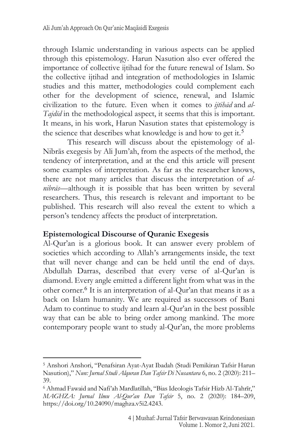through Islamic understanding in various aspects can be applied through this epistemology. Harun Nasution also ever offered the importance of collective ijtihad for the future renewal of Islam. So the collective ijtihad and integration of methodologies in Islamic studies and this matter, methodologies could complement each other for the development of science, renewal, and Islamic civilization to the future. Even when it comes to *ijtihād* and *al-Tajdīd* in the methodological aspect, it seems that this is important. It means, in his work, Harun Nasution states that epistemology is the science that describes what knowledge is and how to get it.<sup>5</sup>

This research will discuss about the epistemology of al-Nibrās exegesis by Ali Jum'ah, from the aspects of the method, the tendency of interpretation, and at the end this article will present some examples of interpretation. As far as the researcher knows, there are not many articles that discuss the interpretation of *alnibrās—*although it is possible that has been written by several researchers. Thus, this research is relevant and important to be published. This research will also reveal the extent to which a person's tendency affects the product of interpretation.

#### **Epistemological Discourse of Quranic Exegesis**

Al-Qur'an is a glorious book. It can answer every problem of societies which according to Allah's arrangements inside, the text that will never change and can be held until the end of days. Abdullah Darras, described that every verse of al-Qur'an is diamond. Every angle emitted a different light from what was in the other corner.<sup>6</sup> It is an interpretation of al-Qur'an that means it as a back on Islam humanity. We are required as successors of Bani Adam to continue to study and learn al-Qur'an in the best possible way that can be able to bring order among mankind. The more contemporary people want to study al-Qur'an, the more problems

<sup>5</sup> Anshori Anshori, "Penafsiran Ayat-Ayat Ibadah (Studi Pemikiran Tafsir Harun Nasution)," *Nun: Jurnal Studi Alquran Dan Tafsir Di Nusantara* 6, no. 2 (2020): 211– 39.

<sup>6</sup> Ahmad Fawaid and Nafi'ah Mardlatillah, "Bias Ideologis Tafsir Hizb Al-Tahrīr," *MAGHZA: Jurnal Ilmu Al-Qur'an Dan Tafsir* 5, no. 2 (2020): 184–209, https://doi.org/10.24090/maghza.v5i2.4243.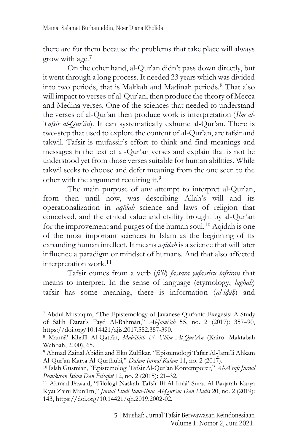there are for them because the problems that take place will always grow with age.<sup>7</sup>

On the other hand, al-Qur'an didn't pass down directly, but it went through a long process. It needed 23 years which was divided into two periods, that is Makkah and Madinah periods.<sup>8</sup> That also will impact to verses of al-Qur'an, then produce the theory of Mecca and Medina verses. One of the sciences that needed to understand the verses of al-Qur'an then produce work is interpretation (*Ilm al-Tafsīr al-Qur'ān*). It can systematically exhume al-Qur'an. There is two-step that used to explore the content of al-Qur'an, are tafsir and takwil. Tafsir is mufassir's effort to think and find meanings and messages in the text of al-Qur'an verses and explain that is not be understood yet from those verses suitable for human abilities. While takwil seeks to choose and defer meaning from the one seen to the other with the argument requiring it.<sup>9</sup>

The main purpose of any attempt to interpret al-Qur'an, from then until now, was describing Allah's will and its operationalization in *aqīdah* science and laws of religion that conceived, and the ethical value and civility brought by al-Qur'an for the improvement and purges of the human soul.<sup>10</sup> Aqidah is one of the most important sciences in Islam as the beginning of its expanding human intellect. It means *aqīdah* is a science that will later influence a paradigm or mindset of humans. And that also affected interpretation work.<sup>11</sup>

Tafsir comes from a verb (*fi'il*) *fassara yufassiru tafsīran* that means to interpret. In the sense of language (etymology, *lughah*) tafsir has some meaning, there is information (*al-idah*) and

<sup>7</sup> Abdul Mustaqim, "The Epistemology of Javanese Qur'anic Exegesis: A Study of Sālih Darat's Fayd Al-Rahmān," *Al-Jami'ah* 55, no. 2 (2017): 357–90, https://doi.org/10.14421/ajis.2017.552.357-390.

<sup>8</sup> Mannā' Khalīl Al-Qattān, *Mabāhith Fī 'Ulūm Al-Qur'Ān* (Kairo: Maktabah Wahbah, 2000), 65.

<sup>9</sup> Ahmad Zainal Abidin and Eko Zulfikar, "Epistemologi Tafsir Al-Jami'li Ahkam Al-Qur'an Karya Al-Qurthubi," *Dalam Jurnal Kalam* 11, no. 2 (2017).

<sup>10</sup> Islah Gusmian, "Epistemologi Tafsir Al-Qur'an Kontemporer," *Al-A'raf: Jurnal Pemikiran Islam Dan Filsafat* 12, no. 2 (2015): 21–32.

<sup>11</sup> Ahmad Fawaid, "Filologi Naskah Tafsîr Bi Al-Imlâ' Surat Al-Baqarah Karya Kyai Zaini Mun'Im," *Jurnal Studi Ilmu-Ilmu Al-Qur'an Dan Hadis* 20, no. 2 (2019): 143, https://doi.org/10.14421/qh.2019.2002-02.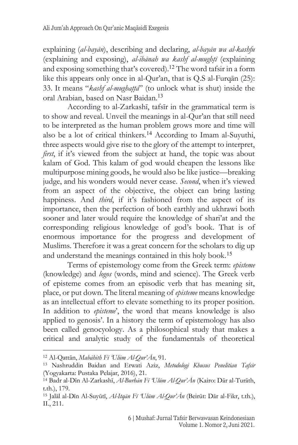explaining (*al-bayān*), describing and declaring, *al-bayān wa al-kashfu* (explaining and exposing), *al-ibānah wa kashf al-mught*}*ī* (explaining and exposing something that's covered).<sup>12</sup> The word tafsir in a form like this appears only once in al-Qur'an, that is Q.S al-Furqān (25): 33. It means "*kashf al-mughatta*" (to unlock what is shut) inside the oral Arabian, based on Nasr Baidan.<sup>13</sup>

According to al-Zarkashī, tafsīr in the grammatical term is to show and reveal. Unveil the meanings in al-Qur'an that still need to be interpreted as the human problem grows more and time will also be a lot of critical thinkers.<sup>14</sup> According to Imam al-Suyuthi, three aspects would give rise to the glory of the attempt to interpret, *first*, if it's viewed from the subject at hand, the topic was about kalam of God. This kalam of god would cheapen the lessons like multipurpose mining goods, he would also be like justice—breaking judge, and his wonders would never cease. *Second*, when it's viewed from an aspect of the objective, the object can bring lasting happiness. And *third*, if it's fashioned from the aspect of its importance, then the perfection of both earthly and ukhrawi both sooner and later would require the knowledge of shari'at and the corresponding religious knowledge of god's book. That is of enormous importance for the progress and development of Muslims. Therefore it was a great concern for the scholars to dig up and understand the meanings contained in this holy book.<sup>15</sup>

Terms of epistemology come from the Greek term: *episteme* (knowledge) and *logos* (words, mind and science). The Greek verb of episteme comes from an episodic verb that has meaning sit, place, or put down. The literal meaning of *episteme* means knowledge as an intellectual effort to elevate something to its proper position. In addition to *episteme*', the word that means knowledge is also applied to genosis'. In a history the term of epistemology has also been called genocyology. As a philosophical study that makes a critical and analytic study of the fundamentals of theoretical

<sup>12</sup> Al-Qattān, *Mabāhith Fī 'Ulūm Al-Qur'Ān*, 91.

<sup>13</sup> Nashruddin Baidan and Erwati Aziz, *Metodologi Khusus Penelitian Tafsir* (Yogyakarta: Pustaka Pelajar, 2016), 21.

<sup>14</sup> Badr al-Dīn Al-Zarkashī, *Al-Burhān Fī 'Ulūm Al-Qur'Ān* (Kairo: Dār al-Turāth, t.th.), 179.

<sup>15</sup> Jalāl al-Dīn Al-Suyūtī, *Al-Itqān Fī 'Ulūm Al-Qur'Ān* (Beirūt: Dār al-Fikr, t.th.), II., 211.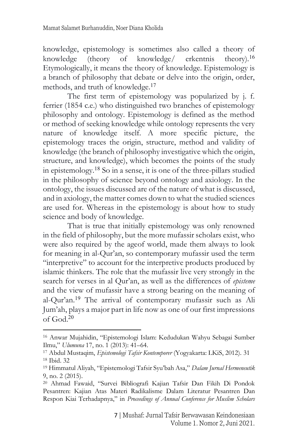knowledge, epistemology is sometimes also called a theory of knowledge (theory of knowledge/ erkentnis theory).<sup>16</sup> Etymologically, it means the theory of knowledge. Epistemology is a branch of philosophy that debate or delve into the origin, order, methods, and truth of knowledge. 17

The first term of epistemology was popularized by j. f. ferrier (1854 c.e.) who distinguished two branches of epistemology philosophy and ontology. Epistemology is defined as the method or method of seeking knowledge while ontology represents the very nature of knowledge itself. A more specific picture, the epistemology traces the origin, structure, method and validity of knowledge (the branch of philosophy investigative which the origin, structure, and knowledge), which becomes the points of the study in epistemology.<sup>18</sup> So in a sense, it is one of the three-pillars studied in the philosophy of science beyond ontology and axiology. In the ontology, the issues discussed are of the nature of what is discussed, and in axiology, the matter comes down to what the studied sciences are used for. Whereas in the epistemology is about how to study science and body of knowledge.

That is true that initially epistemology was only renowned in the field of philosophy, but the more mufassir scholars exist, who were also required by the ageof world, made them always to look for meaning in al-Qur'an, so contemporary mufassir used the term "interpretive" to account for the interpretive products produced by islamic thinkers. The role that the mufassir live very strongly in the search for verses in al Qur'an, as well as the differences of *episteme* and the view of mufassir have a strong bearing on the meaning of al-Qur'an. <sup>19</sup> The arrival of contemporary mufassir such as Ali Jum'ah, plays a major part in life now as one of our first impressions of God.<sup>20</sup>

<sup>16</sup> Anwar Mujahidin, "Epistemologi Islam: Kedudukan Wahyu Sebagai Sumber Ilmu," *Ulumuna* 17, no. 1 (2013): 41–64.

<sup>17</sup> Abdul Mustaqim, *Epistemologi Tafsir Kontemporer* (Yogyakarta: LKiS, 2012). 31 <sup>18</sup> Ibid. 32

<sup>19</sup> Himmatul Aliyah, "Epistemologi Tafsir Syu'bah Asa," *Dalam Jurnal Hermeneutik* 9, no. 2 (2015).

<sup>20</sup> Ahmad Fawaid, "Survei Bibliografi Kajian Tafsir Dan Fikih Di Pondok Pesantren: Kajian Atas Materi Radikalisme Dalam Literatur Pesantren Dan Respon Kiai Terhadapnya," in *Proceedings of Annual Conference for Muslim Scholars*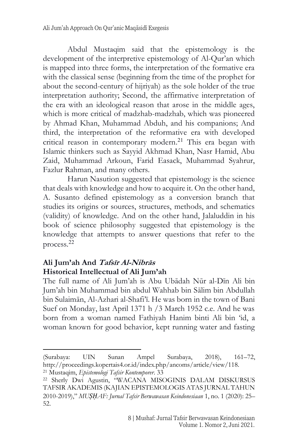Abdul Mustaqim said that the epistemology is the development of the interpretive epistemology of Al-Qur'an which is mapped into three forms, the interpretation of the formative era with the classical sense (beginning from the time of the prophet for about the second-century of hijriyah) as the sole holder of the true interpretation authority; Second, the affirmative interpretation of the era with an ideological reason that arose in the middle ages, which is more critical of madzhab-madzhab, which was pioneered by Ahmad Khan, Muhammad Abduh, and his companions; And third, the interpretation of the reformative era with developed critical reason in contemporary modern. <sup>21</sup> This era began with Islamic thinkers such as Sayyid Akhmad Khan, Nasr Hamid, Abu Zaid, Muhammad Arkoun, Farid Easack, Muhammad Syahrur, Fazlur Rahman, and many others.

Harun Nasution suggested that epistemology is the science that deals with knowledge and how to acquire it. On the other hand, A. Susanto defined epistemology as a conversion branch that studies its origins or sources, structures, methods, and schematics (validity) of knowledge. And on the other hand, Jalaluddin in his book of science philosophy suggested that epistemology is the knowledge that attempts to answer questions that refer to the process.<sup>22</sup>

# **Ali Jum'ah And Tafsīr Al-Nibrās Historical Intellectual of Ali Jum'ah**

The full name of Ali Jum'ah is Abu Ubādah Nūr al-Dīn Ali bin Jum'ah bin Muhammad bin abdul Wahhab bin Sālim bin Abdullah bin Sulaimān, Al-Azhari al-Shafi'ī. He was born in the town of Bani Suef on Monday, last April 1371 h /3 March 1952 c.e. And he was born from a woman named Fathiyah Hanim binti Ali bin 'id, a woman known for good behavior, kept running water and fasting

<sup>(</sup>Surabaya: UIN Sunan Ampel Surabaya, 2018), 161–72, http://proceedings.kopertais4.or.id/index.php/ancoms/article/view/118.

<sup>21</sup> Mustaqim, *Epistemologi Tafsir Kontemporer*. 33

<sup>22</sup> Sherly Dwi Agustin, "WACANA MISOGINIS DALAM DISKURSUS TAFSIR AKADEMIS (KAJIAN EPISTEMOLOGIS ATAS JURNAL TAHUN 2010-2019)," *MUṢḤAF: Jurnal Tafsir Berwawasan Keindonesiaan* 1, no. 1 (2020): 25– 52.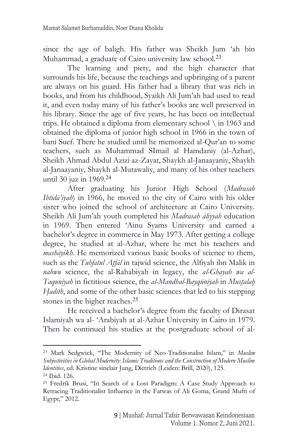since the age of baligh. His father was Sheikh Jum 'ah bin Muhammad, a graduate of Cairo university law school.<sup>23</sup>

The learning and piety, and the high character that surrounds his life, because the teachings and upbringing of a parent are always on his guard. His father had a library that was rich in books, and from his childhood, Syaikh Ali Jum'ah had used to read it, and even today many of his father's books are well preserved in his library. Since the age of five years, he has been on intellectual trips. He obtained a diploma from elementary school \ in 1963 and obtained the diploma of junior high school in 1966 in the town of bani Suef. There he studied until he memorized al-Qur'an to some teachers, such as Muhammad SImail al Hamdaniy (al-Azhar), Sheikh Ahmad Abdul Azizi az-Zayat, Shaykh al-Janaayaniy, Shaykh al-Janaayaniy, Shaykh al-Mutawaliy, and many of his other teachers until 30 juz in 1969.<sup>24</sup>

After graduating his Junior High School (*Madrasah Ibtidā'iyah*) in 1966, he moved to the city of Cairo with his older sister who joined the school of architecture at Cairo University. Sheikh Ali Jum'ah youth completed his *Madrasah āliyyah* education in 1969. Then entered 'Ainu Syams University and earned a bachelor's degree in commerce in May 1973. After getting a college degree, he studied at al-Azhar, where he met his teachers and *mashāyikh*. He memorized various basic books of science to them, such as the *Tuhfatul At*}*fāl* in tajwid science, the Alfiyah ibn Malik in *nahwu* science, the al-Rahabiyah in legacy, the *al-Ghayah wa al-Taquniyah* in fictitious science, the *al-Mandhal-Bayqūniyah* in *Must*}*alah*} *H*}*adīth*, and some of the other basic sciences that led to his stepping stones in the higher reaches.<sup>25</sup>

He received a bachelor's degree from the faculty of Dirasat Islamiyah wa al- 'Arabiyah at al-Azhar University in Cairo in 1979. Then he continued his studies at the postgraduate school of al-

<sup>23</sup> Mark Sedgwick, "The Modernity of Neo-Traditionalist Islam," in *Muslim Subjectivities in Global Modernity: Islamic Traditions and the Construction of Modern Muslim Identities*, ed. Kristine sinclair Jung, Dietrich (Leiden: Brill, 2020), 125.

<sup>24</sup> Ibid. 126.

<sup>25</sup> Fredrik Brusi, "In Search of a Lost Paradigm: A Case Study Approach to Retracing Traditionalist Influence in the Fatwas of Ali Goma, Grand Mufti of Egypt," 2012.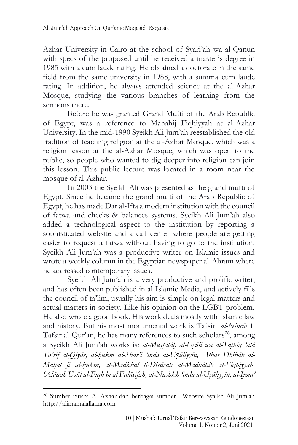Azhar University in Cairo at the school of Syari'ah wa al-Qanun with specs of the proposed until he received a master's degree in 1985 with a cum laude rating. He obtained a doctorate in the same field from the same university in 1988, with a summa cum laude rating. In addition, he always attended science at the al-Azhar Mosque, studying the various branches of learning from the sermons there.

Before he was granted Grand Mufti of the Arab Republic of Egypt, was a reference to Manahij Fiqhiyyah at al-Azhar University. In the mid-1990 Syeikh Ali Jum'ah reestablished the old tradition of teaching religion at the al-Azhar Mosque, which was a religion lesson at the al-Azhar Mosque, which was open to the public, so people who wanted to dig deeper into religion can join this lesson. This public lecture was located in a room near the mosque of al-Azhar.

In 2003 the Syeikh Ali was presented as the grand mufti of Egypt. Since he became the grand mufti of the Arab Republic of Egypt, he has made Dar al-Ifta a modern institution with the council of fatwa and checks & balances systems. Syeikh Ali Jum'ah also added a technological aspect to the institution by reporting a sophisticated website and a call center where people are getting easier to request a fatwa without having to go to the institution. Syeikh Ali Jum'ah was a productive writer on Islamic issues and wrote a weekly column in the Egyptian newspaper al-Ahram where he addressed contemporary issues.

Syeikh Ali Jum'ah is a very productive and prolific writer, and has often been published in al-Islamic Media, and actively fills the council of ta'lim, usually his aim is simple on legal matters and actual matters in society. Like his opinion on the LGBT problem. He also wrote a good book. His work deals mostly with Islamic law and history. But his most monumental work is Tafsir *al-Nibrās* fi Tafsir al-Qur'an, he has many references to such scholars<sup>26</sup>, among a Syeikh Ali Jum'ah works is: *al-Mus*}*t*}*alāh*} *al-Us*}*ūlī wa al-Tat*}*bīq 'alā Ta'rīf al-Qiyās, al-h*}*ukm al-Shar'ī 'inda al-Uṣūliyyīn, Athar Dhihāb al-Mah*}*al fī al-h*}*ukm, al-Madkhal li-Dirāsah al-Madhāhib al-Fiqhiyyah, 'Alāqah Us*}*ūl al-Fiqh bi al Falāsifah, al-Nashkh 'inda al-Us*}*ūliyyīn*, *al-Ijma'*

<sup>26</sup> Sumber :Suara Al Azhar dan berbagai sumber, Website Syaikh Ali Jum'ah http://alimamalallama.com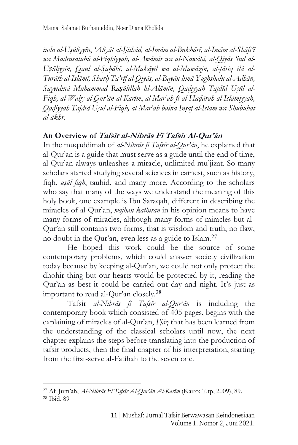inda al-Usūliyyīn, 'Aliyāt al-Ijtihād, al-Imām al-Bukhārī, al-Imām al-Shāfi'ī *wa Madrasatuhū al-Fiqhiyyah, al-Awāmir wa al-Nawāhī, al-Qiyās 'ind al-Uṣūliyyīn, Qaul al-S*}*ah*}*ābī, al-Makāyil wa al-Mawāzin, al-t*}*āriq ilā al-Turāth al-Islāmī, Sharh*} *Ta'rīf al-Qiyās, al-Bayān limā Yughshalu al-Adhān, Sayyidinā Muhammad Raṣūlillah lil-Alāmīn, Qad*}*iyyah Tajdīd Us*}*ūl al-Fiqh, al-Wah*}*y-al-Qur'ān al-Karīm*, *al-Mar'ah fī al-Had*}*ārah al-Islāmiyyah, Qad*}*iyyah Tajdīd Us*}*ūl al-Fiqh, al Mar'ah baina Ins*}*āf al-Islām wa Shubuhāt al-ākhr.*

## **An Overview of Tafsīr al-Nibrās F<sup>ī</sup> Tafsīr Al-Qur'ā<sup>n</sup>**

In the muqaddimah of *al-Nibrās fī Tafsīr al-Qur'ān*, he explained that al-Qur'an is a guide that must serve as a guide until the end of time, al-Qur'an always unleashes a miracle, unlimited mu'jizat. So many scholars started studying several sciences in earnest, such as history, figh, *usūl figh*, tauhid, and many more. According to the scholars who say that many of the ways we understand the meaning of this holy book, one example is Ibn Saraqah, different in describing the miracles of al-Qur'an, *wajhan kathīran* in his opinion means to have many forms of miracles, although many forms of miracles but al-Qur'an still contains two forms, that is wisdom and truth, no flaw, no doubt in the Qur'an, even less as a guide to Islam.<sup>27</sup>

He hoped this work could be the source of some contemporary problems, which could answer society civilization today because by keeping al-Qur'an, we could not only protect the dhohir thing but our hearts would be protected by it, reading the Qur'an as best it could be carried out day and night. It's just as important to read al-Qur'an closely.<sup>28</sup>

Tafsir *al-Nibrās fī Tafsīr al-Qur'ān* is including the contemporary book which consisted of 405 pages, begins with the explaining of miracles of al-Qur'an, *I'jāz* that has been learned from the understanding of the classical scholars until now, the next chapter explains the steps before translating into the production of tafsir products, then the final chapter of his interpretation, starting from the first-serve al-Fatihah to the seven one.

<sup>27</sup> Ali Jum'ah, *Al-Nibrās Fī Tafsīr Al-Qur'ān Al-Karīm* (Kairo: T.tp, 2009), 89. <sup>28</sup> Ibid. 89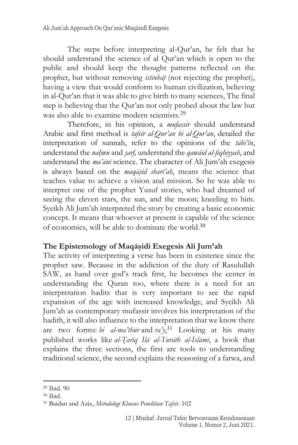The steps before interpreting al-Qur'an, he felt that he should understand the science of al Qur'an which is open to the public and should keep the thought patterns reflected on the prophet, but without removing *istinbat* (not rejecting the prophet), having a view that would conform to human civilization, believing in al-Qur'an that it was able to give birth to many sciences, The final step is believing that the Qur'an not only probed about the law but was also able to examine modern scientists.<sup>29</sup>

[Therefore, in his opinion, a](http://www.u-dictionary.com/home/word/Therefore,%20a%20mufassir%20thinks%20he%20should%20understand%20Arabic,%20understand%20the%20names%20of%20god%20in%20the%20qur%20) *mufassir* should understand Arabic [and first method is](http://www.u-dictionary.com/home/word/Therefore,%20a%20mufassir%20thinks%20he%20should%20understand%20Arabic,%20understand%20the%20names%20of%20god%20in%20the%20qur%20) *tafsīr al-Qur'an bi al-Qur'an*, detailed the [interpretation of sunnah, refer to the opinions of the](http://www.u-dictionary.com/home/word/Therefore,%20a%20mufassir%20thinks%20he%20should%20understand%20Arabic,%20understand%20the%20names%20of%20god%20in%20the%20qur%20) *tābi'īn*, understand the *nah*}*wu* and *s*}*arf,* [understand the](http://www.u-dictionary.com/home/word/Therefore,%20a%20mufassir%20thinks%20he%20should%20understand%20Arabic,%20understand%20the%20names%20of%20god%20in%20the%20qur%20) *qawāid al-fiqhiyyah*, and [understand the](http://www.u-dictionary.com/home/word/Therefore,%20a%20mufassir%20thinks%20he%20should%20understand%20Arabic,%20understand%20the%20names%20of%20god%20in%20the%20qur%20) *ma'ānī* science. The character of Ali Jum'ah exegesis is always based on the *maqās*}*id sharī'ah*, means the science that teaches value to achieve a vision and mission. So he was able to interpret one of the prophet Yusuf stories, who had dreamed of seeing the eleven stars, the sun, and the moon; kneeling to him. Syeikh Ali Jum'ah interpreted the story by creating a basic economic concept. It means that whoever at present is capable of the science of economics, will be able to dominate the world.<sup>30</sup>

# **The Epistemology of Maqās**}**idi Exegesis Ali Jum'ah**

The activity of interpreting a verse has been in existence since the prophet saw. Because in the addiction of the duty of Rasulullah SAW, as hand over god's track first, he becomes the center in understanding the Quran too, where there is a need for an interpretation hadits that is very important to see the rapid expansion of the age with increased knowledge, and Syeikh Ali Jum'ah as contemporary mufassir involves his interpretation of the hadith, it will also influence to the interpretation that we know there are two forms: *bi al-ma'thūr* and *ra'y*, <sup>31</sup> Looking at his many published works like *al-T*}*arīq Ilā al-Turāth al-Islāmī*, a book that explains the three sections, the first are tools to understanding traditional science, the second explains the reasoning of a fatwa, and

<sup>29</sup> Ibid. 90

 $30$  Ibid.

<sup>31</sup> Baidan and Aziz, *Metodologi Khusus Penelitian Tafsir*. 102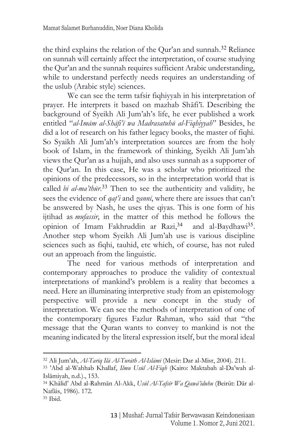the third explains the relation of the Qur'an and sunnah. <sup>32</sup> Reliance on sunnah will certainly affect the interpretation, of course studying the Qur'an and the sunnah requires sufficient Arabic understanding, while to understand perfectly needs requires an understanding of the uslub (Arabic style) sciences.

We can see the term tafsir fiqhiyyah in his interpretation of prayer. He interprets it based on mazhab Shāfi'ī. Describing the background of Syeikh Ali Jum'ah's life, he ever published a work entitled "*al-Imām al-Shāfi'ī wa Madrasatuhū al-Fiqhiyyah*" Besides, he did a lot of research on his father legacy books, the master of fiqhi. So Syaikh Ali Jum'ah's interpretation sources are from the holy book of Islam, in the framework of thinking, Syeikh Ali Jum'ah views the Qur'an as a hujjah, and also uses sunnah as a supporter of the Qur'an. In this case, He was a scholar who prioritized the opinions of the predecessors, so in the interpretation world that is called *bi al-ma'thūr*. <sup>33</sup> Then to see the authenticity and validity, he sees the evidence of *qat'i* and *zanni*, where there are issues that can't be answered by Nash, he uses the qiyas. This is one form of his ijtihad as *mufassir*, in the matter of this method he follows the opinion of Imam Fakhruddin ar Razi, <sup>34</sup> and al-Baydhawi<sup>35</sup> . Another step whom Syeikh Ali Jum'ah use is various discipline sciences such as fiqhi, tauhid, etc which, of course, has not ruled out an approach from the linguistic.

The need for various methods of interpretation and contemporary approaches to produce the validity of contextual interpretations of mankind's problem is a reality that becomes a need. Here an illuminating interpretive study from an epistemology perspective will provide a new concept in the study of interpretation. We can see the methods of interpretation of one of the contemporary figures Fazlur Rahman, who said that "the message that the Quran wants to convey to mankind is not the meaning indicated by the literal expression itself, but the moral ideal

<sup>32</sup> Ali Jum'ah, *Al-Tarīq Ilā Al-Turāth Al-Islāmī* (Mesir: Dar al-Misr, 2004). 211.

<sup>33</sup> 'Abd al-Wahhab Khallaf, *Ilmu Usūl Al-Fiqh* (Kairo: Maktabah al-Da'wah al-Islāmiyah, n.d.)., 153.

<sup>34</sup> Khālid' Abd al-Rahmān Al-Akk, *Usūl Al-Tafsīr Wa Qawā'iduhu* (Beirūt: Dār al-Nafāis, 1986). 172.

<sup>35</sup> Ibid.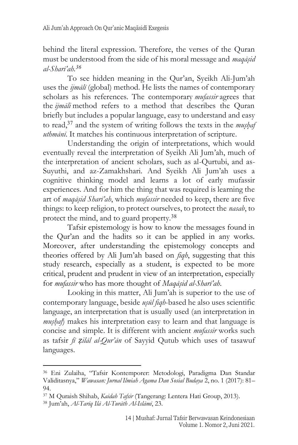behind the literal expression. Therefore, the verses of the Quran must be understood from the side of his moral message and *maqās*}*id al-Sharī'ah. 36*

To see hidden meaning in the Qur'an, Syeikh Ali-Jum'ah uses the *ijmālī* (global) method. He lists the names of contemporary scholars as his references. The contemporary *mufassir* agrees that the *ijmāli* method refers to a method that describes the Quran briefly but includes a popular language, easy to understand and easy to read,<sup>37</sup> and the system of writing follows the texts in the *mushaf uthmānī*. It matches his continuous interpretation of scripture.

Understanding the origin of interpretations, which would eventually reveal the interpretation of Syeikh Ali Jum'ah, much of the interpretation of ancient scholars, such as al-Qurtubi, and as-Suyuthi, and az-Zamakhshari. And Syeikh Ali Jum'ah uses a cognitive thinking model and learns a lot of early mufassir experiences. And for him the thing that was required is learning the art of *maqās*}*id Sharī'ah*, which *mufassir* needed to keep, there are five things: to keep religion, to protect ourselves, to protect the *nasab*, to protect the mind, and to guard property.<sup>38</sup>

Tafsir epistemology is how to know the messages found in the Qur'an and the hadits so it can be applied in any works. Moreover, after understanding the epistemology concepts and theories offered by Ali Jum'ah based on *fiqh*, suggesting that this study research, especially as a student, is expected to be more critical, prudent and prudent in view of an interpretation, especially for *mufassir* who has more thought of *Maqās*}*id al-Sharī'ah*.

Looking in this matter, Ali Jum'ah is superior to the use of contemporary language, beside *usūl fiqh*-based he also uses scientific language, an interpretation that is usually used (an interpretation in *mushaf*) makes his interpretation easy to learn and that language is concise and simple. It is different with ancient *mufassir* works such as tafsir *fī ẓilāl al-Qur'ān* of Sayyid Qutub which uses of tasawuf languages.

<sup>36</sup> Eni Zulaiha, "Tafsir Kontemporer: Metodologi, Paradigma Dan Standar Validitasnya," *Wawasan: Jurnal Ilmiah Agama Dan Sosial Budaya* 2, no. 1 (2017): 81– 94.

<sup>37</sup> M Quraish Shihab, *Kaidah Tafsir* (Tangerang: Lentera Hati Group, 2013).

<sup>38</sup> Jum'ah, *Al-Tarīq Ilā Al-Turāth Al-Islāmī*, 23.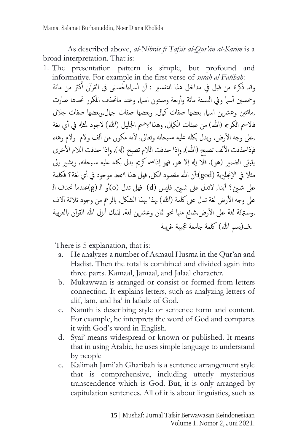As described above, *al-Nibrās fī Tafsīr al-Qur'ān al-Karīm* is a broad interpretation. That is:

1. The presentation pattern is simple, but profound and informative. For example in the first verse of *surah al-Fatihah*: وقد ذكرنا من قبل في مداخل هذا التفسير : أن أسباءالحسنى في القرآن أكثر من مائة أ وخمسين أسيا وفي السنة مائة وأربعة وستون اسيار وعند ماتحذف المكرر تجدها صارت ,مائتين وعشرين اسيار بعضها صفات كيال, وبعضها صفات جارل,وبعضها صفات جلال فالاسم الكريم (الله) من صفات الكمال, وهذاالاسم الجليل (الله) لاجود لمثله في أي لغة ,على وجه الأرض, ويدل بكله عليه سبحانه وتعالى, لأنه مكون من ألف ولام ولام وهاء فإذاحذفت الألف تصبح (الله), وإذا حدفت اللام تصبح (له), وإذا حدفت اللام الأخرى يتبقى الضمير (هو), فلا إله إلا هو, فهو إذاسم كريم يدل بكله عليه سبحانه, ويشير إلى مثلا في الإنجليزية (god):أن الله مقصود الكل, فهل هذا النمط موجود في أي لغة؟ فكلمة ل على شيئ؟ أبدا, لاتدل على شيئ, فليس (d) فهل تدل (o)أو الـ (g)عندما نحدف الـ على وجه الأرض لغة تدل على كلمة (الله) بهذا بهذا الشكل, بالرغم من وجود ثلاثة آلاف ,وسـتائة لغة على الأرض,شائع منها نحو ثمان وعشرين لغة, لذلك أنزل الله القرآن بالعربية .ف(بسم الله) كلمة جامعة عجيبة غريبة

There is 5 explanation, that is:

- a. He analyzes a number of Asmaul Husma in the Qur'an and Hadist. Then the total is combined and divided again into three parts. Kamaal, Jamaal, and Jalaal character.
- b. Mukawwan is arranged or consist or formed from letters connection. It explains letters, such as analyzing letters of alif, lam, and ha' in lafadz of God.
- c. Namth is describing style or sentence form and content. For example, he interprets the word of God and compares it with God's word in English.
- d. Syai' means widespread or known or published. It means that in using Arabic, he uses simple language to understand by people
- e. Kalimah Jami'ah Gharibah is a sentence arrangement style that is comprehensive, including utterly mysterious transcendence which is God. But, it is only arranged by capitulation sentences. All of it is about linguistics, such as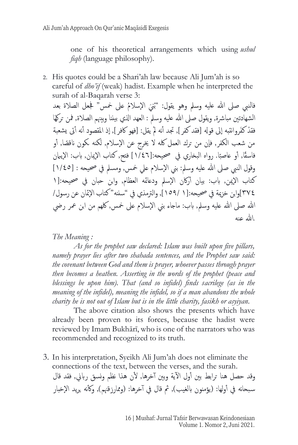one of his theoretical arrangements which using *ushul fiqh* (language philosophy)*.*

2. His quotes could be a Shari'ah law because Ali Jum'ah is so careful of *dho'if* (weak) hadist. Example when he interpreted the surah of al-Baqarah verse 3:

فالنبي صلى الله عليه وسلم وهو يقول: "بْنيَ الإسلامُ على خمس" فجعل الصلاة بعد و<br>با الشهادتين مباشرة, ويقول صلى الله عليه وسلم : العهد الذي بيننا وبينهم الصلاة, فمن تركهَا فقدْ كفَروانتبه إلى قوله [فقد كفر ], تجد أنه لمْ يقل: [فهو كافر ], إذ المقصود أنه أتى يشعبة من شعب الكفر, فإن من ترك العمل كله لا يخرج عن الإسلام, لكنه كمون ناقصًا, أو فاسقًا, أو عاصبًا. رواه البخاري في صحيحه:[١/٤٦] فتح, كتاب الإيمان, باب: الإيبان وقول النبي صلى الله عليه وسلم: بني الإسلام على خمس, ومسلم في صحيحه : [١/٤٥] كتاب الإيمن, باب: بيان أركان الإسلم ودعائمه العظام, وابن حبان في صحيحه:[١ ٣٧٤[وابن خزمية يف حصيحه:]١ ١٥٩/[, والرتمذي يف "سننه" كتاب ا المئانعن رسول/ الله صلى الله عليه وسلم, باب: ماجاء بني الإسلام على خمس, كلهم من ابن عمر رضي  $\mathbf{u}$   $\mathbf{u}$   $\mathbf{v}$ 

*The Meaning :*

*As for the prophet saw declared: Islam was built upon five pillars, namely prayer lies after two shahada sentences, and the Prophet saw said: the covenant between God and them is prayer, whoever passes through prayer then becomes a heathen. Asserting in the words of the prophet (peace and blessings be upon him). That (and so infidel) finds sacrilege (as in the meaning of the infidel), meaning the infidel, so if a man abandons the whole charity he is not out of Islam but is in the little charity, fasikh or asyiyan.*

The above citation also shows the presents which have already been proven to its forces, because the hadist were reviewed by Imam Bukhārī, who is one of the narrators who was recommended and recognized to its truth.

3. In his interpretation, Syeikh Ali Jum'ah does not eliminate the connections of the text, between the verses, and the surah. وقد حصل هنا ترابط بين أول الآية وبين آخرها, لأن هذا نظم ونسق رباني, فقد قال سبحانه في أولها: (يؤمنون بالغيب), ثم قال في آخرها: (وممارزقنهم), وكأنه يريد الإخبار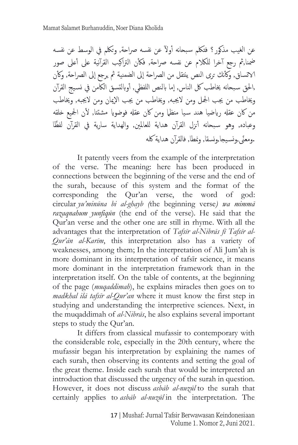عن الغيب مذكور ؟ فتكلم سبحانه أولآ عن نفسه صراحة, وتكلم في الوسط عن نفسه ضمنا,ثم رجع آخرا للكلام عن نفسه صراحة, فكأن التراكيب القرآنية على أعلى صور الاتساق, وكأنك ترى النص ينتقل من الصراحة إلى الضمنية ثم يرجع إلى الصراحة, وكأن ,الحق سبحانه يخاطب كل الناس, إما بالنص اللفظي, أوبالتسق الكامن في نسيج القرآن وخياطب من جيب امجلل ومن الجيبه, وخياطب من جيب ا الميان ومن الجيبه, وخياطب من كان عقله رياضيا هند سيا منظما ومن كان عقله فوضويا مشتتا, لأن الجميع خلقه وعباده, وهو سبحانه أنزل القرآن هداية للعالمين, والهداية سارية في القرآن لفظًا .ومعنًى ومسيجا,ونسقا, وممطا, فالقرآن هداية كله

It patently veers from the example of the interpretation of the verse. The meaning: here has been produced in connections between the beginning of the verse and the end of the surah, because of this system and the format of the corresponding the Qur'an verse, the word of god: circular *yu'minūna bi al-ghayb (*the beginning verse*) wa mimmā razaqnahum yunfiqūn* (the end of the verse)*.* He said that the Qur'an verse and the other one are still in rhyme. With all the advantages that the interpretation of *Tafsīr al-Nibrās fī Tafsīr al-Qur'ān al-Karīm*, this interpretation also has a variety of weaknesses, among them; In the interpretation of Ali Jum'ah is more dominant in its interpretation of tafsīr science, it means more dominant in the interpretation framework than in the interpretation itself. On the table of contents, at the beginning of the page (*muqaddimah*), he explains miracles then goes on to *madkhal ilā tafsīr al-Qur'an* where it must know the first step in studying and understanding the interpretive sciences. Next, in the muqaddimah of *al-Nibrās*, he also explains several important steps to study the Qur'an.

It differs from classical mufassir to contemporary with the considerable role, especially in the 20th century, where the mufassir began his interpretation by explaining the names of each surah, then observing its contents and setting the goal of the great theme. Inside each surah that would be interpreted an introduction that discussed the urgency of the surah in question. However, it does not discuss *asbāb al-nuzūl* to the surah that certainly applies to *asbāb al-nuzūl* in the interpretation. The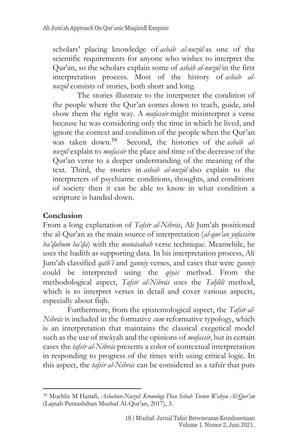scholars' placing knowledge of *asbāb al-nuzūl* as one of the scientific requirements for anyone who wishes to interpret the Qur'an, so the scholars explain some of *asbāb al-nuzūl* in the first interpretation process. Most of the history of *asbāb alnuzūl* consists of stories, both short and long.

The stories illustrate to the interpreter the condition of the people where the Qur'an comes down to teach, guide, and show them the right way. A *mufassir* might misinterpret a verse because he was considering only the time in which he lived, and ignore the context and condition of the people when the Qur'an was taken down.<sup>39</sup> Second, the histories of the *asbāb alnuzūl* explain to *mufassir* the place and time of the decrease of the Qur'an verse to a deeper understanding of the meaning of the text. Third, the stories in *asbāb al-nuzūl* also explain to the interpreters of psychiatric conditions, thoughts, and conditions of society then it can be able to know in what condition a scripture is handed down.

## **Conclusion**

From a long explanation of *Tafsīr al-Nibrās*, Ali Jum'ah positioned the al-Qur'an as the main source of interpretation (*al-qur'an yufassiru ba'd*}*uhum ba'd*}*a*) with the *munāsabah* verse technique. Meanwhile, he uses the hadīth as supporting data. In his interpretation process, Ali Jum'ah classified *qath'i* and *z*}*anniy* verses, and cases that were *z*}*anniy* could be interpreted using the *qiyās* method. From the methodological aspect, *Tafsīr al-Nibrās* uses the *Tah*}*līlī* method, which is to interpret verses in detail and cover various aspects, especially about fiqh.

Furthermore, from the epistemological aspect, the *Tafsīr al-Nibrās* is included in the formative *cum* reformative typology, which is an interpretation that maintains the classical exegetical model such as the use of riwāyah and the opinions of *mufassir*, but in certain cases the *tafsīr al-Nibrās* presents a color of contextual interpretation in responding to progress of the times with using critical logic. In this aspect, the *tafsīr al-Nibrās* can be considered as a tafsīr that puts

<sup>39</sup> Muchlis M Hanafi, *Asbabun-Nuzul: Kronologi Dan Sebab Turun Wahyu Al-Qur'an* (Lajnah Pentashihan Mushaf Al-Qur'an, 2017), 3.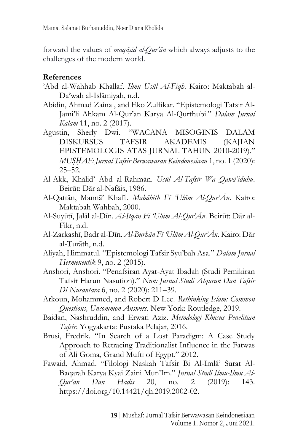forward the values of *maqās*}*id al-Qur'ān* which always adjusts to the challenges of the modern world.

#### **References**

- 'Abd al-Wahhab Khallaf. *Ilmu Usūl Al-Fiqh*. Kairo: Maktabah al-Da'wah al-Islāmiyah, n.d.
- Abidin, Ahmad Zainal, and Eko Zulfikar. "Epistemologi Tafsir Al-Jami'li Ahkam Al-Qur'an Karya Al-Qurthubi." *Dalam Jurnal Kalam* 11, no. 2 (2017).
- Agustin, Sherly Dwi. "WACANA MISOGINIS DALAM DISKURSUS TAFSIR AKADEMIS (KAJIAN EPISTEMOLOGIS ATAS JURNAL TAHUN 2010-2019)." *MUṢḤAF: Jurnal Tafsir Berwawasan Keindonesiaan* 1, no. 1 (2020): 25–52.
- Al-Akk, Khālid' Abd al-Rahmān. *Usūl Al-Tafsīr Wa Qawā'iduhu*. Beirūt: Dār al-Nafāis, 1986.
- Al-Qattān, Mannā' Khalīl. *Mabāhith Fī 'Ulūm Al-Qur'Ān*. Kairo: Maktabah Wahbah, 2000.
- Al-Suyūtī, Jalāl al-Dīn. *Al-Itqān Fī 'Ulūm Al-Qur'Ān*. Beirūt: Dār al-Fikr, n.d.
- Al-Zarkashī, Badr al-Dīn. *Al-Burhān Fī 'Ulūm Al-Qur'Ān*. Kairo: Dār al-Turāth, n.d.
- Aliyah, Himmatul. "Epistemologi Tafsir Syu'bah Asa." *Dalam Jurnal Hermeneutik* 9, no. 2 (2015).
- Anshori, Anshori. "Penafsiran Ayat-Ayat Ibadah (Studi Pemikiran Tafsir Harun Nasution)." *Nun: Jurnal Studi Alquran Dan Tafsir Di Nusantara* 6, no. 2 (2020): 211–39.
- Arkoun, Mohammed, and Robert D Lee. *Rethinking Islam: Common Questions, Uncommon Answers*. New York: Routledge, 2019.
- Baidan, Nashruddin, and Erwati Aziz. *Metodologi Khusus Penelitian Tafsir*. Yogyakarta: Pustaka Pelajar, 2016.
- Brusi, Fredrik. "In Search of a Lost Paradigm: A Case Study Approach to Retracing Traditionalist Influence in the Fatwas of Ali Goma, Grand Mufti of Egypt," 2012.
- Fawaid, Ahmad. "Filologi Naskah Tafsîr Bi Al-Imlâ' Surat Al-Baqarah Karya Kyai Zaini Mun'Im." *Jurnal Studi Ilmu-Ilmu Al-Qur'an Dan Hadis* 20, no. 2 (2019): 143. https://doi.org/10.14421/qh.2019.2002-02.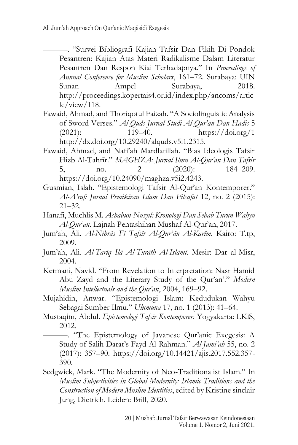- ———. "Survei Bibliografi Kajian Tafsir Dan Fikih Di Pondok Pesantren: Kajian Atas Materi Radikalisme Dalam Literatur Pesantren Dan Respon Kiai Terhadapnya." In *Proceedings of Annual Conference for Muslim Scholars*, 161–72. Surabaya: UIN Sunan Ampel Surabaya, 2018. http://proceedings.kopertais4.or.id/index.php/ancoms/artic  $le/view/118$ .
- Fawaid, Ahmad, and Thoriqotul Faizah. "A Sociolinguistic Analysis of Sword Verses." *Al Quds Jurnal Studi Al-Qur'an Dan Hadis* 5 (2021): 119–40. https://doi.org/1 http://dx.doi.org/10.29240/alquds.v5i1.2315.
- Fawaid, Ahmad, and Nafi'ah Mardlatillah. "Bias Ideologis Tafsir Hizb Al-Tahrīr." *MAGHZA: Jurnal Ilmu Al-Qur'an Dan Tafsir* 5, no. 2 (2020): 184–209. https://doi.org/10.24090/maghza.v5i2.4243.
- Gusmian, Islah. "Epistemologi Tafsir Al-Qur'an Kontemporer." *Al-A'raf: Jurnal Pemikiran Islam Dan Filsafat* 12, no. 2 (2015):  $21 - 32.$
- Hanafi, Muchlis M. *Asbabun-Nuzul: Kronologi Dan Sebab Turun Wahyu Al-Qur'an*. Lajnah Pentashihan Mushaf Al-Qur'an, 2017.
- Jum'ah, Ali. *Al-Nibrās Fī Tafsīr Al-Qur'ān Al-Karīm*. Kairo: T.tp, 2009.
- Jum'ah, Ali. *Al-Tarīq Ilā Al-Turāth Al-Islāmī*. Mesir: Dar al-Misr, 2004.
- Kermani, Navid. "From Revelation to Interpretation: Nasr Hamid Abu Zayd and the Literary Study of the Qur'an'." *Modern Muslim Intellectuals and the Qur'an*, 2004, 169–92.
- Mujahidin, Anwar. "Epistemologi Islam: Kedudukan Wahyu Sebagai Sumber Ilmu." *Ulumuna* 17, no. 1 (2013): 41–64.
- Mustaqim, Abdul. *Epistemologi Tafsir Kontemporer*. Yogyakarta: LKiS, 2012.

———. "The Epistemology of Javanese Qur'anic Exegesis: A Study of Sālih Darat's Fayd Al-Rahmān." *Al-Jami'ah* 55, no. 2 (2017): 357–90. https://doi.org/10.14421/ajis.2017.552.357- 390.

Sedgwick, Mark. "The Modernity of Neo-Traditionalist Islam." In *Muslim Subjectivities in Global Modernity: Islamic Traditions and the Construction of Modern Muslim Identities*, edited by Kristine sinclair Jung, Dietrich. Leiden: Brill, 2020.